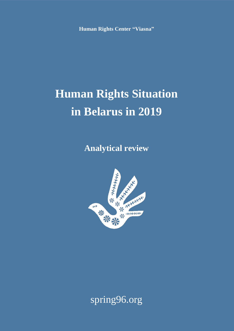**Human Rights Center "Viasna"**

# **Human Rights Situation in Belarus in 2019**

**Analytical review**



# spring96.org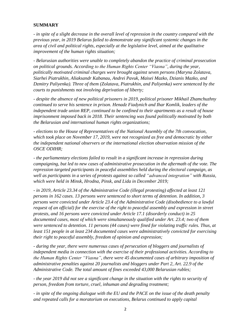#### **SUMMARY**

*- in spite of a slight decrease in the overall level of repression in the country compared with the previous year, in 2019 Belarus failed to demonstrate any significant systemic changes in the area of civil and political rights, especially at the legislative level, aimed at the qualitative improvement of the human rights situation;*

*- Belarusian authorities were unable to completely abandon the practice of criminal prosecution on political grounds. According to the Human Rights Center "Viasna", during the year, politically motivated criminal charges were brought against seven persons (Maryna Zolatava, Siarhei Piatrukhin, Aliaksandr Kabanau, Andrei Pavuk, Maisei Mazko, Dzianis Mazko, and Dzmitry Paliyenka). Three of them (Zolatava, Piatrukhin, and Paliyenka) were sentenced by the courts to punishments not involving deprivation of liberty;*

*- despite the absence of new political prisoners in 2019, political prisoner Mikhail Zhamchuzhny continued to serve his sentence in prison. Henadz Fiadynich and Ihar Komlik, leaders of the independent trade union REP, continued to be confined to their apartments as a result of house imprisonment imposed back in 2018. Their sentencing was found politically motivated by both the Belarusian and international human rights organizations;*

*- elections to the House of Representatives of the National Assembly of the 7th convocation, which took place on November 17, 2019, were not recognized as free and democratic by either the independent national observers or the international election observation mission of the OSCE ODIHR;*

*- the parliamentary elections failed to result in a significant increase in repression during campaigning, but led to new cases of administrative prosecution in the aftermath of the vote. The repression targeted participants in peaceful assemblies held during the electoral campaign, as well as participants in a series of protests against so called "advanced integration" with Russia, which were held in Minsk, Hrodna, Pinsk, and Lida in December 2019;*

*- in 2019, Article 23.34 of the Administrative Code (illegal protesting) affected at least 121 persons in 162 cases. 13 persons were sentenced to short terms of detention. In addition, 3 persons were convicted under Article 23.4 of the Administrative Code (disobedience to a lawful request of an official) for the exercise of the right to peaceful assembly and expression in street protests, and 16 persons were convicted under Article 17.1 (disorderly conduct) in 25 documented cases, most of which were simultaneously qualified under Art. 23.4; two of them were sentenced to detention. 11 persons (44 cases) were fined for violating traffic rules. Thus, at least 151 people in at least 234 documented cases were administratively convicted for exercising their right to peaceful assembly, freedom of opinion and expression;*

*- during the year, there were numerous cases of persecution of bloggers and journalists of independent media in connection with the exercise of their professional activities. According to the Human Rights Center "Viasna", there were 45 documented cases of arbitrary imposition of administrative penalties against 20 journalists and bloggers under Part 2, Art. 22.9 of the Administrative Code. The total amount of fines exceeded 43,000 Belarusian rubles;*

*- the year 2019 did not see a significant change in the situation with the rights to security of person, freedom from torture, cruel, inhuman and degrading treatment;*

*- in spite of the ongoing dialogue with the EU and the PACE on the issue of the death penalty and repeated calls for a moratorium on executions, Belarus continued to apply capital*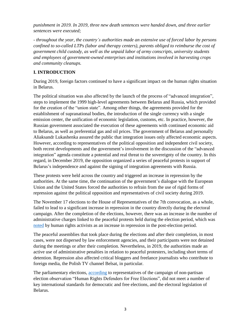*punishment in 2019. In 2019, three new death sentences were handed down, and three earlier sentences were executed;*

*- throughout the year, the country's authorities made an extensive use of forced labor by persons confined to so-called LTPs (labor and therapy centers), parents obliged to reimburse the cost of government child custody, as well as the unpaid labor of army conscripts, university students and employees of government-owned enterprises and institutions involved in harvesting crops and community cleanups.*

#### **I. INTRODUCTION**

During 2019, foreign factors continued to have a significant impact on the human rights situation in Belarus.

The political situation was also affected by the launch of the process of "advanced integration", steps to implement the 1999 high-level agreements between Belarus and Russia, which provided for the creation of the "union state". Among other things, the agreements provided for the establishment of supranational bodies, the introduction of the single currency with a single emission center, the unification of economic legislation, customs, etc. In practice, however, the Russian government associated the execution of these agreements with continued economic aid to Belarus, as well as preferential gas and oil prices. The government of Belarus and personally Aliaksandr Lukashenka assured the public that integration issues only affected economic aspects. However, according to representatives of the political opposition and independent civil society, both recent developments and the government's involvement in the discussion of the "advanced integration" agenda constitute a potential and real threat to the sovereignty of the country. In this regard, in December 2019, the opposition organized a series of peaceful protests in support of Belarus's independence and against the signing of integration agreements with Russia.

These protests were held across the country and triggered an increase in repression by the authorities. At the same time, the continuation of the government's dialogue with the European Union and the United States forced the authorities to refrain from the use of rigid forms of repression against the political opposition and representatives of civil society during 2019.

The November 17 elections to the House of Representatives of the 7th convocation, as a whole, failed to lead to a significant increase in repression in the country directly during the electoral campaign. After the completion of the elections, however, there was an increase in the number of administrative charges linked to the peaceful protests held during the election period, which was [noted](https://elections2019.spring96.org/en/news/95321) by human rights activists as an increase in repression in the post-election period.

The peaceful assemblies that took place during the elections and after their completion, in most cases, were not dispersed by law enforcement agencies, and their participants were not detained during the meetings or after their completion. Nevertheless, in 2019, the authorities made an active use of administrative penalties in relation to peaceful protesters, including short terms of detention. Repression also affected critical bloggers and freelance journalists who contribute to foreign media, the Polish TV channel Belsat, in particular.

The parliamentary elections, [according](https://elections2019.spring96.org/en/news/95183) to representatives of the campaign of non-partisan election observation "Human Rights Defenders for Free Elections", did not meet a number of key international standards for democratic and free elections, and the electoral legislation of Belarus.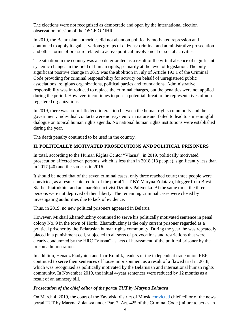The elections were not recognized as democratic and open by the international election observation mission of the OSCE ODIHR.

In 2019, the Belarusian authorities did not abandon politically motivated repression and continued to apply it against various groups of citizens: criminal and administrative prosecution and other forms of pressure related to active political involvement or social activities.

The situation in the country was also deteriorated as a result of the virtual absence of significant systemic changes in the field of human rights, primarily at the level of legislation. The only significant positive change in 2019 was the abolition in July of Article 193.1 of the Criminal Code providing for criminal responsibility for activity on behalf of unregistered public associations, religious organizations, political parties and foundations. Administrative responsibility was introduced to replace the criminal charges, but the penalties were not applied during the period. However, it continues to pose a potential threat to the representatives of nonregistered organizations.

In 2019, there was no full-fledged interaction between the human rights community and the government. Individual contacts were non-systemic in nature and failed to lead to a meaningful dialogue on topical human rights agenda. No national human rights institutions were established during the year.

The death penalty continued to be used in the country.

# **II. POLITICALLY MOTIVATED PROSECUTIONS AND POLITICAL PRISONERS**

In total, according to the Human Rights Center "Viasna", in 2019, politically motivated prosecution affected seven persons, which is less than in 2018 (18 people), significantly less than in 2017 (40) and the same as in 2016.

It should be noted that of the seven criminal cases, only three reached court; three people were convicted, as a result: chief editor of the portal TUT.BY Maryna Zolatava, blogger from Brest Siarhei Piatrukhin, and an anarchist activist Dzmitry Paliyenka. At the same time, the three persons were not deprived of their liberty. The remaining criminal cases were closed by investigating authorities due to lack of evidence.

Thus, in 2019, no new political prisoners appeared in Belarus.

However, Mikhail Zhamchuzhny continued to serve his politically motivated sentence in penal colony No. 9 in the town of Horki. Zhamchuzhny is the only current prisoner regarded as a political prisoner by the Belarusian human rights community. During the year, he was repeatedly placed in a punishment cell, subjected to all sorts of provocations and restrictions that were clearly condemned by the HRC "Viasna" as acts of harassment of the political prisoner by the prison administration.

In addition, Henadz Fiadynich and Ihar Komlik, leaders of the independent trade union REP, continued to serve their sentences of house imprisonment as a result of a flawed trial in 2018, which was recognized as politically motivated by the Belarusian and international human rights community. In November 2019, the initial 4-year sentences were reduced by 12 months as a result of an amnesty bill.

#### *Prosecution of the chief editor of the portal TUT.by Maryna Zolatava*

On March 4, 2019, the court of the Zavodski district of Minsk [convicted](https://spring96.org/en/news/92234) chief editor of the news portal TUT.by Maryna Zolatava under Part 2, Art. 425 of the Criminal Code (failure to act as an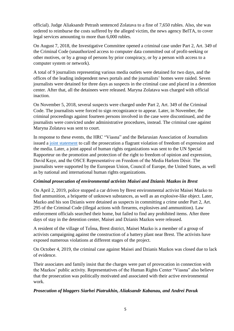official). Judge Aliaksandr Petrash sentenced Zolatava to a fine of 7,650 rubles. Also, she was ordered to reimburse the costs suffered by the alleged victim, the news agency BelTA, to cover legal services amounting to more than 6,000 rubles.

On August 7, 2018, the Investigative Committee opened a criminal case under Part 2, Art. 349 of the Criminal Code (unauthorized access to computer data committed out of profit-seeking or other motives, or by a group of persons by prior conspiracy, or by a person with access to a computer system or network).

A total of 9 journalists representing various media outlets were detained for two days, and the offices of the leading independent news portals and the journalists' homes were raided. Seven journalists were detained for three days as suspects in the criminal case and placed in a detention center. After that, all the detainees were released. Maryna Zolatava was charged with official inaction.

On November 5, 2018, several suspects were charged under Part 2, Art. 349 of the Criminal Code. The journalists were forced to sign recognizance to appear. Later, in November, the criminal proceedings against fourteen persons involved in the case were discontinued, and the journalists were convicted under administrative procedures, instead. The criminal case against Maryna Zolatava was sent to court.

In response to these events, the HRC "Viasna" and the Belarusian Association of Journalists issued a [joint statement](https://spring96.org/en/news/90525) to call the prosecution a flagrant violation of freedom of expression and the media. Later, a joint appeal of human rights organizations was sent to the UN Special Rapporteur on the promotion and protection of the right to freedom of opinion and expression, David Kaye, and the OSCE Representative on Freedom of the Media Harlem Désir. The journalists were supported by the European Union, Council of Europe, the United States, as well as by national and international human rights organizations.

#### *Criminal prosecution of environmental activists Maisei and Dzianis Mazkos in Brest*

On April 2, 2019, police stopped a car driven by Brest environmental activist Maisei Mazko to find ammunition, a briquette of unknown substances, as well as an explosive-like object. Later, Mazko and his son Dzianis were detained as suspects in committing a crime under Part 2, Art. 295 of the Criminal Code (illegal actions with firearms, explosives and ammunition). Law enforcement officials searched their home, but failed to find any prohibited items. After three days of stay in the detention center, Maisei and Dzianis Mazkos were released.

A resident of the village of Teĺma, Brest district, Maisei Mazko is a member of a group of activists campaigning against the construction of a battery plant near Brest. The activists have exposed numerous violations at different stages of the project.

On October 4, 2019, the criminal case against Maisei and Dzianis Mazkos was closed due to lack of evidence.

Their associates and family insist that the charges were part of provocation in connection with the Mazkos' public activity. Representatives of the Human Rights Center "Viasna" also believe that the prosecution was politically motivated and associated with their active environmental work.

#### *Prosecution of bloggers Siarhei Piatrukhin, Aliaksandr Kabanau, and Andrei Pavuk*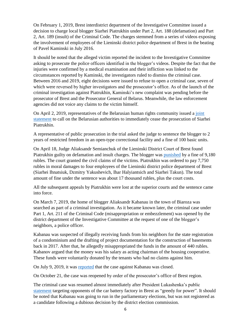On February 1, 2019, Brest interdistrict department of the Investigative Committee issued a decision to charge local blogger Siarhei Piatrukhin under Part 2, Art. 188 (defamation) and Part 2, Art. 189 (insult) of the Criminal Code. The charges stemmed from a series of videos exposing the involvement of employees of the Lieninski district police department of Brest in the beating of Pavel Kaminski in July 2016.

It should be noted that the alleged victim reported the incident to the Investigative Committee asking to prosecute the police officers identified in the blogger's videos. Despite the fact that the injuries were confirmed by a medical examination and their infliction was linked to the circumstances reported by Kaminski, the investigators ruled to dismiss the criminal case. Between 2016 and 2019, eight decisions were issued to refuse to open a criminal case, seven of which were reversed by higher investigators and the prosecutor's office. As of the launch of the criminal investigation against Piatrukhin, Kaminski's new complaint was pending before the prosecutor of Brest and the Prosecutor General of Belarus. Meanwhile, the law enforcement agencies did not voice any claims to the victim himself.

On April 2, 2019, representatives of the Belarusian human rights community issued a [joint](https://spring96.org/en/news/92516)  [statement](https://spring96.org/en/news/92516) to call on the Belarusian authorities to immediately cease the prosecution of Siarhei Piatrukhin.

A representative of public prosecution in the trial asked the judge to sentence the blogger to 2 years of restricted freedom in an open-type correctional facility and a fine of 100 basic units.

On April 18, Judge Aliaksandr Semianchuk of the Lieninski District Court of Brest found Piatrukhin guilty on defamation and insult charges. The blogger was [punished](https://spring96.org/en/news/92697) by a fine of 9,180 rubles. The court granted the civil claims of the victims. Piatrukhin was ordered to pay 7,750 rubles in moral damages to four employees of the Lieninski district police department of Brest (Siarhei Ihnatsiuk, Dzmitry Yakushevich, Ihar Halyiantsich and Siarhei Takun). The total amount of fine under the sentence was about 17 thousand rubles, plus the court costs.

All the subsequent appeals by Piatrukhin were lost at the superior courts and the sentence came into force.

On March 7, 2019, the home of blogger Aliaksandr Kabanau in the town of Biaroza was searched as part of a criminal investigation. As it became known later, the criminal case under Part 1, Art. 211 of the Criminal Code (misappropriation or embezzlement) was opened by the district department of the Investigative Committee at the request of one of the blogger's neighbors, a police officer.

Kabanau was suspected of illegally receiving funds from his neighbors for the state registration of a condominium and the drafting of project documentation for the construction of basements back in 2017. After that, he allegedly misappropriated the funds in the amount of 440 rubles. Kabanov argued that the money was his salary as acting chairman of the housing cooperative. These funds were voluntarily donated by the tenants who had no claims against him.

On July 9, 2019, it was [reported](https://spring96.org/en/news/93408) that the case against Kabanau was closed.

On October 21, the case was reopened by order of the prosecutor's office of Brest region.

The criminal case was resumed almost immediately after President Lukashenka's public [statement](https://news.tut.by/society/658044.html) targeting opponents of the car battery factory in Brest as "greedy for power". It should be noted that Kabanau was going to run in the parliamentary elections, but was not registered as a candidate following a dubious decision by the district election commission.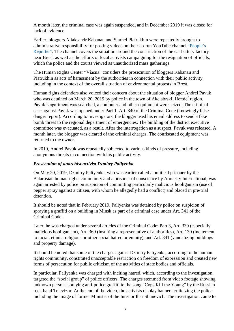A month later, the criminal case was again suspended, and in December 2019 it was closed for lack of evidence.

Earlier, bloggers Aliaksandr Kabanau and Siarhei Piatrukhin were repeatedly brought to administrative responsibility for posting videos on their co-run YouTube channel ["People's](https://www.youtube.com/channel/UC0oLxL8yFsI6KyXdDgnJi4g)  [Reporter".](https://www.youtube.com/channel/UC0oLxL8yFsI6KyXdDgnJi4g) The channel covers the situation around the construction of the car battery factory near Brest, as well as the efforts of local activists campaigning for the resignation of officials, which the police and the courts viewed as unauthorized mass gatherings.

The Human Rights Center "Viasna" considers the prosecution of bloggers Kabanau and Piatrukhin as acts of harassment by the authorities in connection with their public activity, including in the context of the overall situation of environmental protests in Brest.

Human rights defenders also voiced their concern about the situation of blogger Andrei Pavuk who was detained on March 20, 2019 by police in the town of Akciabrski, Homiel region. Pavuk's apartment was searched, a computer and other equipment were seized. The criminal case against Pavuk was opened under Part 1, Art. 340 of the Criminal Code (knowingly false danger report). According to investigators, the blogger used his email address to send a fake bomb threat to the regional department of emergencies. The building of the district executive committee was evacuated, as a result. After the interrogation as a suspect, Pavuk was released. A month later, the blogger was cleared of the criminal charges. The confiscated equipment was returned to the owner.

In 2019, Andrei Pavuk was repeatedly subjected to various kinds of pressure, including anonymous threats in connection with his public activity.

#### *Prosecution of anarchist activist Dzmitry Paliyenka*

On May 20, 2019, Dzmitry Paliyenka, who was earlier called a political prisoner by the Belarusian human rights community and a prisoner of conscience by Amnesty International, was again arrested by police on suspicion of committing particularly malicious hooliganism (use of pepper spray against a citizen, with whom he allegedly had a conflict) and placed in pre-trial detention.

It should be noted that in February 2019, Paliyenka was detained by police on suspicion of spraying a graffiti on a building in Minsk as part of a criminal case under Art. 341 of the Criminal Code.

Later, he was charged under several articles of the Criminal Code: Part 3, Art. 339 (especially malicious hooliganism), Art. 369 (insulting a representative of authorities), Art. 130 (incitement to racial, ethnic, religious or other social hatred or enmity), and Art. 341 (vandalizing buildings and property damage).

It should be noted that some of the charges against Dzmitry Paliyenka, according to the human rights community, constituted unacceptable restriction on freedom of expression and created new forms of persecution for public criticism of the activities of state bodies and officials.

In particular, Paliyenka was charged with inciting hatred, which, according to the investigation, targeted the "social group" of police officers. The charges stemmed from video footage showing unknown persons spraying anti-police graffiti to the song "Cops Kill the Young" by the Russian rock band Televizor. At the end of the video, the activists display banners criticizing the police, including the image of former Minister of the Interior Ihar Shunevich. The investigation came to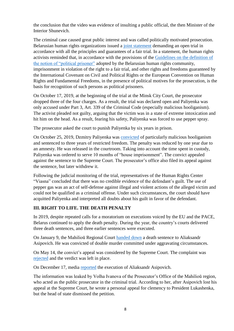the conclusion that the video was evidence of insulting a public official, the then Minister of the Interior Shunevich.

The criminal case caused great public interest and was called politically motivated prosecution. Belarusian human rights organizations issued a [joint statement](https://spring96.org/en/news/94194) demanding an open trial in accordance with all the principles and guarantees of a fair trial. In a statement, the human rights activists reminded that, in accordance with the provisions of the [Guidelines on the definition of](https://spring96.org/en/news/67186)  [the notion of "political prisoner"](https://spring96.org/en/news/67186) adopted by the Belarusian human rights community, imprisonment in violation of the right to a fair trial, and other rights and freedoms guaranteed by the International Covenant on Civil and Political Rights or the European Convention on Human Rights and Fundamental Freedoms, in the presence of political motives for the prosecution, is the basis for recognition of such persons as political prisoners.

On October 17, 2019, at the beginning of the trial at the Minsk City Court, the prosecutor dropped three of the four charges. As a result, the trial was declared open and Paliyenka was only accused under Part 3, Art. 339 of the Criminal Code (especially malicious hooliganism). The activist pleaded not guilty, arguing that the victim was in a state of extreme intoxication and hit him on the head. As a result, fearing his safety, Paliyenka was forced to use pepper spray.

The prosecutor asked the court to punish Paliyenka by six years in prison.

On October 25, 2019, Dzmitry Paliyenka was [convicted](https://spring96.org/en/news/94659) of particularly malicious hooliganism and sentenced to three years of restricted freedom. The penalty was reduced by one year due to an amnesty. He was released in the courtroom. Taking into account the time spent in custody, Paliyenka was ordered to serve 10 months of "house imprisonment". The convict appealed against the sentence to the Supreme Court. The prosecutor's office also filed its appeal against the sentence, but later withdrew it.

Following the judicial monitoring of the trial, representatives of the Human Rights Center "Viasna" concluded that there was no credible evidence of the defendant's guilt. The use of pepper gas was an act of self-defense against illegal and violent actions of the alleged victim and could not be qualified as a criminal offense. Under such circumstances, the court should have acquitted Paliyenka and interpreted all doubts about his guilt in favor of the defendant.

#### **III. RIGHT TO LIFE. THE DEATH PENALTY**

In 2019, despite repeated calls for a moratorium on executions voiced by the EU and the PACE, Belarus continued to apply the death penalty. During the year, the country's courts delivered three death sentences, and three earlier sentences were executed.

On January 9, the Mahilioŭ Regional Court [handed down](https://dp.spring96.org/en/news/91777) a death sentence to Aliaksandr Asipovich. He was convicted of double murder committed under aggravating circumstances.

On May 14, the convict's appeal was considered by the Supreme Court. The complaint was [rejected](https://dp.spring96.org/en/news/92933) and the verdict was left in place.

On December 17, media [reported](https://dp.spring96.org/en/news/95539) the execution of Aliaksandr Asipovich.

The information was leaked by Volha Ivanova of the Prosecutor's Office of the Mahilioŭ region, who acted as the public prosecutor in the criminal trial. According to her, after Asipovich lost his appeal at the Supreme Court, he wrote a personal appeal for clemency to President Lukashenka, but the head of state dismissed the petition.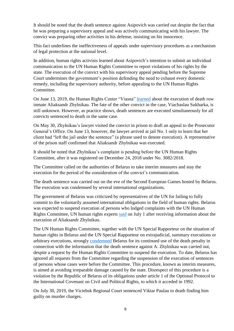It should be noted that the death sentence against Asipovich was carried out despite the fact that he was preparing a supervisory appeal and was actively communicating with his lawyer. The convict was preparing other activities in his defense, insisting on his innocence.

This fact underlines the ineffectiveness of appeals under supervisory procedures as a mechanism of legal protection at the national level.

In addition, human rights activists learned about Asipovich's intention to submit an individual communication to the UN Human Rights Committee to report violations of his rights by the state. The execution of the convict with his supervisory appeal pending before the Supreme Court undermines the government's position defending the need to exhaust every domestic remedy, including the supervisory authority, before appealing to the UN Human Rights Committee.

On June 13, 2019, the Human Rights Center "Viasna" [learned](https://dp.spring96.org/en/news/93194) about the execution of death row inmate Aliaksandr Zhylnikau. The fate of the other convict in the case, Viachaslau Sukharka, is still unknown. However, as practice shows, death sentences are executed simultaneously for all convicts sentenced to death in the same case.

On May 30, Zhylnikau's lawyer visited the convict in prison to draft an appeal to the Prosecutor General's Office. On June 13, however, the lawyer arrived at jail No. 1 only to learn that her client had "left the jail under the sentence" (a phrase used to denote execution). A representative of the prison staff confirmed that Aliaksandr Zhylnikau was executed.

It should be noted that Zhylnikau's complaint is pending before the UN Human Rights Committee, after it was registered on December 24, 2018 under No. 3082/2018.

The Committee called on the authorities of Belarus to take interim measures and stay the execution for the period of the consideration of the convict's communication.

The death sentence was carried out on the eve of the Second European Games hosted by Belarus. The execution was condemned by several international organizations.

The government of Belarus was criticized by representatives of the UN for failing to fully commit to the voluntarily assumed international obligations in the field of human rights. Belarus was expected to suspend execution of persons who lodged complaints with the UN Human Rights Committee, UN human rights experts [said](https://www.ohchr.org/EN/HRBodies/HRC/Pages/NewsDetail.aspx?NewsID=24768&LangID=E) on July 1 after receiving information about the execution of Aliaksandr Zhylnikau.

The UN Human Rights Committee, together with the UN Special Rapporteur on the situation of human rights in Belarus and the UN Special Rapporteur on extrajudicial, summary executions or arbitrary executions, strongly [condemned](https://dp.spring96.org/en/news/93385) Belarus for its continued use of the death penalty in connection with the information that the death sentence against A. Zhylnikau was carried out, despite a request by the Human Rights Committee to suspend the execution. To date, Belarus has ignored all requests from the Committee regarding the suspension of the execution of sentences of persons whose cases were before the Committee. This procedure, known as interim measures, is aimed at avoiding irreparable damage caused by the state. Disrespect of this procedure is a violation by the Republic of Belarus of its obligations under article 1 of the Optional Protocol to the International Covenant on Civil and Political Rights, to which it acceded in 1992.

On July 30, 2019, the Viciebsk Regional Court sentenced Viktar Paulau to death finding him guilty on murder charges.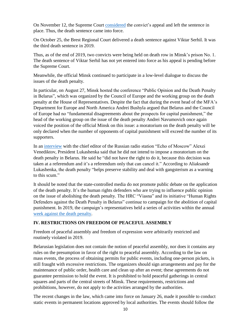On November 12, the Supreme Court [considered](https://dp.spring96.org/en/news/94940) the convict's appeal and left the sentence in place. Thus, the death sentence came into force.

On October 25, the Brest Regional Court delivered a death sentence against Viktar Serhil. It was the third death sentence in 2019.

Thus, as of the end of 2019, two convicts were being held on death row in Minsk's prison No. 1. The death sentence of Viktar Serhil has not yet entered into force as his appeal is pending before the Supreme Court.

Meanwhile, the official Minsk continued to participate in a low-level dialogue to discuss the issues of the death penalty.

In particular, on August 27, Minsk hosted the conference "Public Opinion and the Death Penalty in Belarus", which was organized by the Council of Europe and the working group on the death penalty at the House of Representatives. Despite the fact that during the event head of the MFA's Department for Europe and North America Andrei Bushyla argued that Belarus and the Council of Europe had no "fundamental disagreements about the prospects for capital punishment," the head of the working group on the issue of the death penalty Andrei Navumovich once again voiced the position of the official Minsk on this issue: a moratorium on the death penalty will be only declared when the number of opponents of capital punishment will exceed the number of its supporters.

In an [interview](https://echo.msk.ru/programs/beseda/2559487-echo/) with the chief editor of the Russian radio station "Echo of Moscow" Alexei Venediktov, President Lukashenka said that he did not intend to impose a moratorium on the death penalty in Belarus. He said he "did not have the right to do it, because this decision was taken at a referendum and it's a referendum only that can cancel it." According to Aliaksandr Lukashenka, the death penalty "helps preserve stability and deal with gangsterism as a warning to this scum."

It should be noted that the state-controlled media do not promote public debate on the application of the death penalty. It's the human rights defenders who are trying to influence public opinion on the issue of abolishing the death penalty. The HRC "Viasna" and its initiative "Human Rights Defenders against the Death Penalty in Belarus" continue to campaign for the abolition of capital punishment. In 2019, the campaign's representatives held a series of activities within the annual [week against the death penalty.](https://dp.spring96.org/en/news/94465)

#### **IV. RESTRICTIONS ON FREEDOM OF PEACEFUL ASSEMBLY**

Freedom of peaceful assembly and freedom of expression were arbitrarily restricted and routinely violated in 2019.

Belarusian legislation does not contain the notion of peaceful assembly, nor does it contains any rules on the presumption in favor of the right to peaceful assembly. According to the law on mass events, the process of obtaining permits for public events, including one-person pickets, is still fraught with excessive restrictions. The organizers should sign arrangements and pay for the maintenance of public order, health care and clean up after an event; these agreements do not guarantee permission to hold the event. It is prohibited to hold peaceful gatherings in central squares and parts of the central streets of Minsk. These requirements, restrictions and prohibitions, however, do not apply to the activities arranged by the authorities.

The recent changes in the law, which came into force on January 26, made it possible to conduct static events in permanent locations approved by local authorities. The events should follow the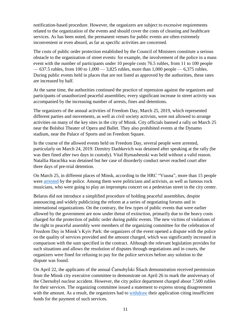notification-based procedure. However, the organizers are subject to excessive requirements related to the organization of the events and should cover the costs of cleaning and healthcare services. As has been noted, the permanent venues for public events are often extremely inconvenient or even absurd, as far as specific activities are concerned.

The costs of public order protection established by the Council of Ministers constitute a serious obstacle to the organization of street events: for example, the involvement of the police in a mass event with the number of participants under 10 people costs 76.5 rubles, from 11 to 100 people  $-637.5$  rubles, from 100 to 1,000  $-3.825$  rubles, more than 1,000 people  $-6.375$  rubles. During public events held in places that are not listed as approved by the authorities, these rates are increased by half.

At the same time, the authorities continued the practice of repression against the organizers and participants of unauthorized peaceful assemblies; every significant increase in street activity was accompanied by the increasing number of arrests, fines and detentions.

The organizers of the annual activities of Freedom Day, March 25, 2019, which represented different parties and movements, as well as civil society activists, were not allowed to arrange activities on many of the key sites in the city of Minsk. City officials banned a rally on March 25 near the Bolshoi Theater of Opera and Ballet. They also prohibited events at the Dynamo stadium, near the Palace of Sports and on Freedom Square.

In the course of the allowed events held on Freedom Day, several people were arrested, particularly on March 24, 2019. Dzmitry Dashkevich was detained after speaking at the rally (he was then fined after two days in custody). Vital Rymasheuski was held without a valid reason. Natallia Harachka was detained but her case of disorderly conduct never reached court after three days of pre-trial detention.

On March 25, in different places of Minsk, according to the HRC "Viasna", more than 15 people were [arrested](https://spring96.org/en/news/92438) by the police. Among them were politicians and activists, as well as famous rock musicians, who were going to play an impromptu concert on a pedestrian street in the city center.

Belarus did not introduce a simplified procedure of holding peaceful assemblies, despite announcing and widely publicizing the reform at a series of negotiating forums and in international organizations. On the contrary, the few types of public events that were earlier allowed by the government are now under threat of extinction, primarily due to the heavy costs charged for the protection of public order during public events. The new victims of violations of the right to peaceful assembly were members of the organizing committee for the celebration of Freedom Day in Minsk's Kyiv Park: the organizers of the event opened a dispute with the police on the quality of services provided and the amount charged, which was significantly increased in comparison with the sum specified in the contract. Although the relevant legislation provides for such situations and allows the resolution of disputes through negotiations and in courts, the organizers were fined for refusing to pay for the police services before any solution to the dispute was found.

On April 22, the applicants of the annual Čarnobyĺski Šliach demonstration received permission from the Minsk city executive committee to demonstrate on April 26 to mark the anniversary of the Chernobyl nuclear accident. However, the city police department charged about 7,500 rubles for their services. The organizing committee issued a statement to express strong disagreement with the amount. As a result, the organizers had to [withdraw](https://spring96.org/en/news/92770) their application citing insufficient funds for the payment of such services.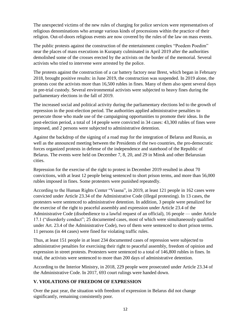The unexpected victims of the new rules of charging for police services were representatives of religious denominations who arrange various kinds of processions within the practice of their religion. Out-of-doors religious events are now covered by the rules of the law on mass events.

The public protests against the construction of the entertainment complex "Poedem Poedim" near the places of mass executions in Kurapaty culminated in April 2019 after the authorities demolished some of the crosses erected by the activists on the border of the memorial. Several activists who tried to intervene were arrested by the police.

The protests against the construction of a car battery factory near Brest, which began in February 2018, brought positive results: in June 2019, the construction was suspended. In 2019 alone, the protests cost the activists more than 16,500 rubles in fines. Many of them also spent several days in pre-trial custody. Several environmental activists were subjected to heavy fines during the parliamentary elections in the fall of 2019.

The increased social and political activity during the parliamentary elections led to the growth of repression in the post-election period. The authorities applied administrative penalties to persecute those who made use of the campaigning opportunities to promote their ideas. In the post-election period, a total of 14 people were convicted in 34 cases: 43,300 rubles of fines were imposed, and 2 persons were subjected to administrative detention.

Against the backdrop of the signing of a road map for the integration of Belarus and Russia, as well as the announced meeting between the Presidents of the two countries, the pro-democratic forces organized protests in defense of the independence and statehood of the Republic of Belarus. The events were held on December 7, 8, 20, and 29 in Minsk and other Belarusian cities.

Repression for the exercise of the right to protest in December 2019 resulted in about 70 convictions, with at least 12 people being sentenced to short prison terms, and more than 56,000 rubles imposed in fines. Some protesters were punished repeatedly.

According to the Human Rights Center "Viasna", in 2019, at least 121 people in 162 cases were convicted under Article 23.34 of the Administrative Code (illegal protesting). In 13 cases, the protesters were sentenced to administrative detention. In addition, 3 people were penalized for the exercise of the right to peaceful assembly and expression under Article 23.4 of the Administrative Code (disobedience to a lawful request of an official), 16 people — under Article 17.1 ("disorderly conduct"; 25 documented cases, most of which were simultaneously qualified under Art. 23.4 of the Administrative Code), two of them were sentenced to short prison terms. 11 persons (in 44 cases) were fined for violating traffic rules.

Thus, at least 151 people in at least 234 documented cases of repression were subjected to administrative penalties for exercising their right to peaceful assembly, freedom of opinion and expression in street protests. Protesters were sentenced to a total of 146,800 rubles in fines. In total, the activists were sentenced to more than 200 days of administrative detention.

According to the Interior Ministry, in 2018, 229 people were prosecuted under Article 23.34 of the Administrative Code. In 2017, 693 court rulings were handed down.

#### **V. VIOLATIONS OF FREEDOM OF EXPRESSION**

Over the past year, the situation with freedom of expression in Belarus did not change significantly, remaining consistently poor.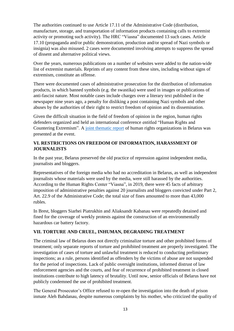The authorities continued to use Article 17.11 of the Administrative Code (distribution, manufacture, storage, and transportation of information products containing calls to extremist activity or promoting such activity). The HRC "Viasna" documented 13 such cases. Article 17.10 (propaganda and/or public demonstration, production and/or spread of Nazi symbols or insignia) was also misused. 2 cases were documented involving attempts to suppress the spread of dissent and alternative political views.

Over the years, numerous publications on a number of websites were added to the nation-wide list of extremist materials. Reprints of any content from these sites, including without signs of extremism, constitute an offense.

There were documented cases of administrative prosecution for the distribution of information products, in which banned symbols (e.g. the swastika) were used in images or publications of anti-fascist nature. Most notable cases include charges over a literary text published in the newspaper nine years ago, a penalty for disliking a post containing Nazi symbols and other abuses by the authorities of their right to restrict freedom of opinion and its dissemination.

Given the difficult situation in the field of freedom of opinion in the region, human rights defenders organized and held an international conference entitled "Human Rights and Countering Extremism". A [joint thematic report](https://spring96.org/files/book/ru/2019_extremism_ru.pdf) of human rights organizations in Belarus was presented at the event.

### **VI. RESTRICTIONS ON FREEDOM OF INFORMATION, HARASSMENT OF JOURNALISTS**

In the past year, Belarus preserved the old practice of repression against independent media, journalists and bloggers.

Representatives of the foreign media who had no accreditation in Belarus, as well as independent journalists whose materials were used by the media, were still harassed by the authorities. According to the Human Rights Center "Viasna", in 2019, there were 45 facts of arbitrary imposition of administrative penalties against 20 journalists and bloggers convicted under Part 2, Art. 22.9 of the Administrative Code; the total size of fines amounted to more than 43,000 rubles.

In Brest, bloggers Siarhei Piatrukhin and Aliaksandr Kabanau were repeatedly detained and fined for the coverage of weekly protests against the construction of an environmentally hazardous car battery factory.

# **VII. TORTURE AND CRUEL, INHUMAN, DEGRADING TREATMENT**

The criminal law of Belarus does not directly criminalize torture and other prohibited forms of treatment; only separate reports of torture and prohibited treatment are properly investigated. The investigation of cases of torture and unlawful treatment is reduced to conducting preliminary inspections; as a rule, persons identified as offenders by the victims of abuse are not suspended for the period of inspections. Lack of public oversight institutions, informed distrust of law enforcement agencies and the courts, and fear of recurrence of prohibited treatment in closed institutions contribute to high latency of brutality. Until now, senior officials of Belarus have not publicly condemned the use of prohibited treatment.

The General Prosecutor's Office refused to re-open the investigation into the death of prison inmate Aleh Bahdanau, despite numerous complaints by his mother, who criticized the quality of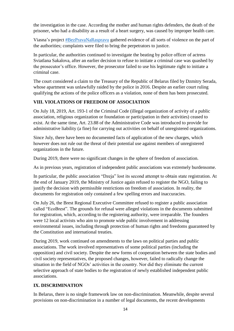the investigation in the case. According the mother and human rights defenders, the death of the prisoner, who had a disability as a result of a heart surgery, was caused by improper health care.

Viasna's project **#BezPravaNaRaspravu** gathered evidence of all sorts of violence on the part of the authorities; complaints were filed to bring the perpetrators to justice.

In particular, the authorities continued to investigate the beating by police officer of actress Sviatlana Sakalova, after an earlier decision to refuse to initiate a criminal case was quashed by the prosecutor's office. However, the prosecutor failed to use his legitimate right to initiate a criminal case.

The court considered a claim to the Treasury of the Republic of Belarus filed by Dzmitry Serada, whose apartment was unlawfully raided by the police in 2016. Despite an earlier court ruling qualifying the actions of the police officers as a violation, none of them has been prosecuted.

# **VIII. VIOLATIONS OF FREEDOM OF ASSOCIATION**

On July 18, 2019, Art. 193-1 of the Criminal Code (illegal organization of activity of a public association, religious organization or foundation or participation in their activities) ceased to exist. At the same time, Art. 23.88 of the Administrative Code was introduced to provide for administrative liability (a fine) for carrying out activities on behalf of unregistered organizations.

Since July, there have been no documented facts of application of the new charges, which however does not rule out the threat of their potential use against members of unregistered organizations in the future.

During 2019, there were no significant changes in the sphere of freedom of association.

As in previous years, registration of independent public associations was extremely burdensome.

In particular, the public association "Dzeja" lost its second attempt to obtain state registration. At the end of January 2019, the Ministry of Justice again refused to register the NGO, failing to justify the decision with permissible restrictions on freedom of association. In reality, the documents for registration only contained a few spelling errors and inaccuracies.

On July 26, the Brest Regional Executive Committee refused to register a public association called "EcoBrest". The grounds for refusal were alleged violations in the documents submitted for registration, which, according to the registering authority, were irreparable. The founders were 12 local activists who aim to promote wide public involvement in addressing environmental issues, including through protection of human rights and freedoms guaranteed by the Constitution and international treaties.

During 2019, work continued on amendments to the laws on political parties and public associations. The work involved representatives of some political parties (including the opposition) and civil society. Despite the new forms of cooperation between the state bodies and civil society representatives, the proposed changes, however, failed to radically change the situation in the field of NGOs' activities in the country. Nor did they eliminate the current selective approach of state bodies to the registration of newly established independent public associations.

#### **IX. DISCRIMINATION**

In Belarus, there is no single framework law on non-discrimination. Meanwhile, despite several provisions on non-discrimination in a number of legal documents, the recent developments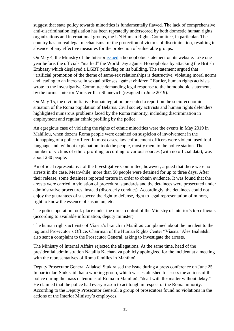suggest that state policy towards minorities is fundamentally flawed. The lack of comprehensive anti-discrimination legislation has been repeatedly underscored by both domestic human rights organizations and international groups, the UN Human Rights Committee, in particular. The country has no real legal mechanisms for the protection of victims of discrimination, resulting in absence of any effective measures for the protection of vulnerable groups.

On May 4, the Ministry of the Interior [issued](https://www.mvd.gov.by/ru/news/5372) a homophobic statement on its website. Like one year before, the officials "marked" the World Day against Homophobia by attacking the British Embassy which displayed a LGBT pride flag on its building. The statement argued that "artificial promotion of the theme of same-sex relationships is destructive, violating moral norms and leading to an increase in sexual offenses against children." Earlier, human rights activists wrote to the Investigative Committee demanding legal response to the homophobic statements by the former Interior Minister Ihar Shunevich (resigned in June 2019).

On May 15, the civil initiative Romaintegration presented a report on the socio-economic situation of the Roma population of Belarus. Civil society activists and human rights defenders highlighted numerous problems faced by the Roma minority, including discrimination in employment and regular ethnic profiling by the police.

An egregious case of violating the rights of ethnic minorities were the events in May 2019 in Mahilioŭ, when dozens Roma people were detained on suspicion of involvement in the kidnapping of a police officer. In most cases, law enforcement officers were violent, used foul language and, without explanation, took the people, mostly men, to the police station. The number of victims of ethnic profiling, according to various sources (with no official data), was about 230 people.

An official representative of the Investigative Committee, however, argued that there were no arrests in the case. Meanwhile, more than 50 people were detained for up to three days. After their release, some detainees reported torture in order to obtain evidence. It was found that the arrests were carried in violation of procedural standards and the detainees were prosecuted under administrative procedures, instead (disorderly conduct). Accordingly, the detainees could not enjoy the guarantees of suspects: the right to defense, right to legal representation of minors, right to know the essence of suspicion, etc.

The police operation took place under the direct control of the Ministry of Interior's top officials (according to available information, deputy minister).

The human rights activists of Viasna's branch in Mahilioŭ complained about the incident to the regional Prosecutor's Office. Chairman of the Human Rights Center "Viasna" Ales Bialiatski also sent a complaint to the Prosecutor General, asking to investigate the arrests.

The Ministry of Internal Affairs rejected the allegations. At the same time, head of the presidential administration Natallia Kachanava publicly apologized for the incident at a meeting with the representatives of Roma families in Mahilioŭ.

Deputy Prosecutor General Aliaksei Stuk raised the issue during a press conference on June 25. In particular, Stuk said that a working group, which was established to assess the actions of the police during the mass detentions of Roma in Mahilioŭ, "dealt with the matter without delay." He claimed that the police had every reason to act tough in respect of the Roma minority. According to the Deputy Prosecutor General, a group of prosecutors found no violations in the actions of the Interior Ministry's employees.